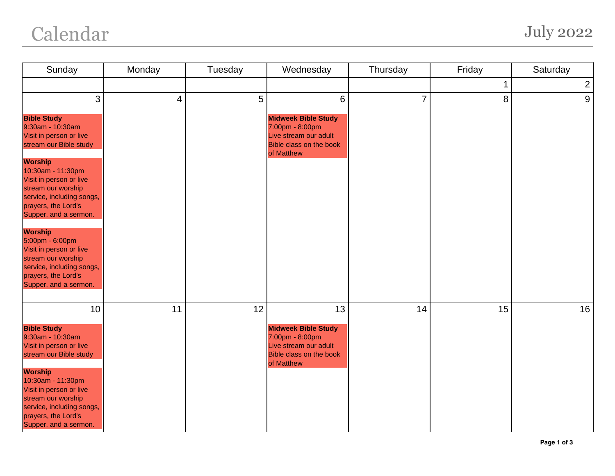## Calendar July 2022

| Sunday                                                                                                                                                                                                                                                                                                                                                                                   | Monday | Tuesday | Wednesday                                                                                                                                | Thursday       | Friday | Saturday       |
|------------------------------------------------------------------------------------------------------------------------------------------------------------------------------------------------------------------------------------------------------------------------------------------------------------------------------------------------------------------------------------------|--------|---------|------------------------------------------------------------------------------------------------------------------------------------------|----------------|--------|----------------|
|                                                                                                                                                                                                                                                                                                                                                                                          |        |         |                                                                                                                                          |                | 1      | $\overline{c}$ |
| 3<br><b>Bible Study</b><br>9:30am - 10:30am<br>Visit in person or live<br>stream our Bible study<br><b>Worship</b><br>10:30am - 11:30pm<br>Visit in person or live<br>stream our worship<br>service, including songs,<br>prayers, the Lord's<br>Supper, and a sermon.<br><b>Worship</b><br>5:00pm - 6:00pm<br>Visit in person or live<br>stream our worship<br>service, including songs, | 4      | 5       | $6\phantom{1}$<br><b>Midweek Bible Study</b><br>7:00pm - 8:00pm<br>Live stream our adult<br><b>Bible class on the book</b><br>of Matthew | $\overline{7}$ | 8      | 9              |
| prayers, the Lord's<br>Supper, and a sermon.<br>10<br><b>Bible Study</b><br>9:30am - 10:30am<br>Visit in person or live<br>stream our Bible study<br><b>Worship</b><br>10:30am - 11:30pm<br>Visit in person or live<br>stream our worship<br>service, including songs,<br>prayers, the Lord's<br>Supper, and a sermon.                                                                   | 11     | 12      | 13<br><b>Midweek Bible Study</b><br>7:00pm - 8:00pm<br>Live stream our adult<br><b>Bible class on the book</b><br>of Matthew             | 14             | 15     | 16             |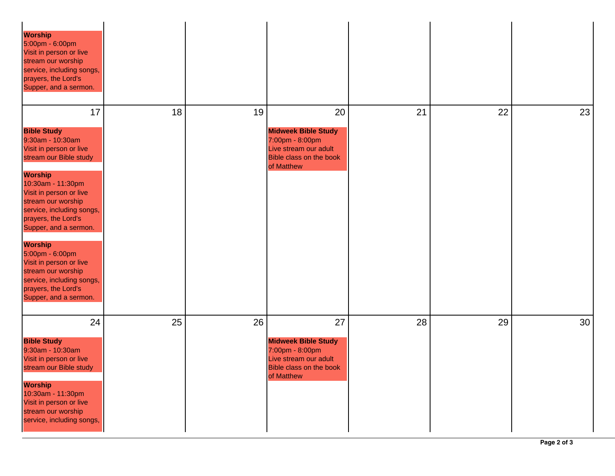| <b>Worship</b><br>5:00pm - 6:00pm<br>Visit in person or live<br>stream our worship<br>service, including songs,<br>prayers, the Lord's<br>Supper, and a sermon.                                                                                                                                                                                                                                                                           |    |    |                                                                                                                       |    |    |    |
|-------------------------------------------------------------------------------------------------------------------------------------------------------------------------------------------------------------------------------------------------------------------------------------------------------------------------------------------------------------------------------------------------------------------------------------------|----|----|-----------------------------------------------------------------------------------------------------------------------|----|----|----|
| 17<br><b>Bible Study</b><br>9:30am - 10:30am<br>Visit in person or live<br>stream our Bible study<br><b>Worship</b><br>10:30am - 11:30pm<br>Visit in person or live<br>stream our worship<br>service, including songs,<br>prayers, the Lord's<br>Supper, and a sermon.<br><b>Worship</b><br>5:00pm - 6:00pm<br>Visit in person or live<br>stream our worship<br>service, including songs,<br>prayers, the Lord's<br>Supper, and a sermon. | 18 | 19 | 20<br><b>Midweek Bible Study</b><br>7:00pm - 8:00pm<br>Live stream our adult<br>Bible class on the book<br>of Matthew | 21 | 22 | 23 |
| 24<br><b>Bible Study</b><br>9:30am - 10:30am<br>Visit in person or live<br>stream our Bible study<br><b>Worship</b><br>10:30am - 11:30pm<br>Visit in person or live<br>stream our worship<br>service, including songs,                                                                                                                                                                                                                    | 25 | 26 | 27<br><b>Midweek Bible Study</b><br>7:00pm - 8:00pm<br>Live stream our adult<br>Bible class on the book<br>of Matthew | 28 | 29 | 30 |